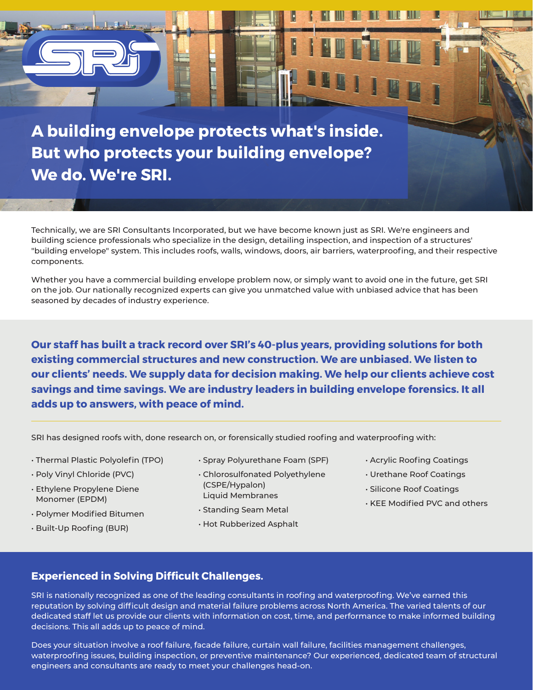

Technically, we are SRI Consultants Incorporated, but we have become known just as SRI. We're engineers and building science professionals who specialize in the design, detailing inspection, and inspection of a structures' "building envelope" system. This includes roofs, walls, windows, doors, air barriers, waterproofing, and their respective components.

Whether you have a commercial building envelope problem now, or simply want to avoid one in the future, get SRI on the job. Our nationally recognized experts can give you unmatched value with unbiased advice that has been seasoned by decades of industry experience.

**Our staff has built a track record over SRI's 40-plus years, providing solutions for both existing commercial structures and new construction. We are unbiased. We listen to our clients' needs. We supply data for decision making. We help our clients achieve cost savings and time savings. We are industry leaders in building envelope forensics. It all adds up to answers, with peace of mind.**

SRI has designed roofs with, done research on, or forensically studied roofing and waterproofing with:

- Thermal Plastic Polyolefin (TPO)
- Poly Vinyl Chloride (PVC)
- Ethylene Propylene Diene Monomer (EPDM)
- Polymer Modified Bitumen
- Built-Up Roofing (BUR)
- Spray Polyurethane Foam (SPF)
- Chlorosulfonated Polyethylene (CSPE/Hypalon) Liquid Membranes
- Standing Seam Metal

#### • Hot Rubberized Asphalt

- Acrylic Roofing Coatings
- Urethane Roof Coatings
- Silicone Roof Coatings
- KEE Modified PVC and others

## **Experienced in Solving Difficult Challenges.**

SRI is nationally recognized as one of the leading consultants in roofing and waterproofing. We've earned this reputation by solving difficult design and material failure problems across North America. The varied talents of our dedicated staff let us provide our clients with information on cost, time, and performance to make informed building decisions. This all adds up to peace of mind.

Does your situation involve a roof failure, facade failure, curtain wall failure, facilities management challenges, waterproofing issues, building inspection, or preventive maintenance? Our experienced, dedicated team of structural engineers and consultants are ready to meet your challenges head-on.